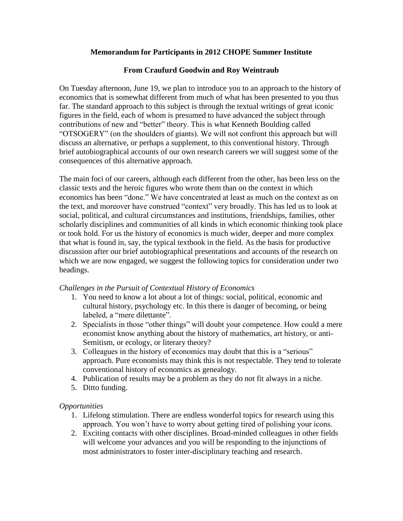## **Memorandum for Participants in 2012 CHOPE Summer Institute**

## **From Craufurd Goodwin and Roy Weintraub**

On Tuesday afternoon, June 19, we plan to introduce you to an approach to the history of economics that is somewhat different from much of what has been presented to you thus far. The standard approach to this subject is through the textual writings of great iconic figures in the field, each of whom is presumed to have advanced the subject through contributions of new and "better" theory. This is what Kenneth Boulding called "OTSOGERY" (on the shoulders of giants). We will not confront this approach but will discuss an alternative, or perhaps a supplement, to this conventional history. Through brief autobiographical accounts of our own research careers we will suggest some of the consequences of this alternative approach.

The main foci of our careers, although each different from the other, has been less on the classic texts and the heroic figures who wrote them than on the context in which economics has been "done." We have concentrated at least as much on the context as on the text, and moreover have construed "context" very broadly. This has led us to look at social, political, and cultural circumstances and institutions, friendships, families, other scholarly disciplines and communities of all kinds in which economic thinking took place or took hold. For us the history of economics is much wider, deeper and more complex that what is found in, say, the typical textbook in the field. As the basis for productive discussion after our brief autobiographical presentations and accounts of the research on which we are now engaged, we suggest the following topics for consideration under two headings.

## *Challenges in the Pursuit of Contextual History of Economics*

- 1. You need to know a lot about a lot of things: social, political, economic and cultural history, psychology etc. In this there is danger of becoming, or being labeled, a "mere dilettante".
- 2. Specialists in those "other things" will doubt your competence. How could a mere economist know anything about the history of mathematics, art history, or anti-Semitism, or ecology, or literary theory?
- 3. Colleagues in the history of economics may doubt that this is a "serious" approach. Pure economists may think this is not respectable. They tend to tolerate conventional history of economics as genealogy.
- 4. Publication of results may be a problem as they do not fit always in a niche.
- 5. Ditto funding.

## *Opportunities*

- 1. Lifelong stimulation. There are endless wonderful topics for research using this approach. You won't have to worry about getting tired of polishing your icons.
- 2. Exciting contacts with other disciplines. Broad-minded colleagues in other fields will welcome your advances and you will be responding to the injunctions of most administrators to foster inter-disciplinary teaching and research.